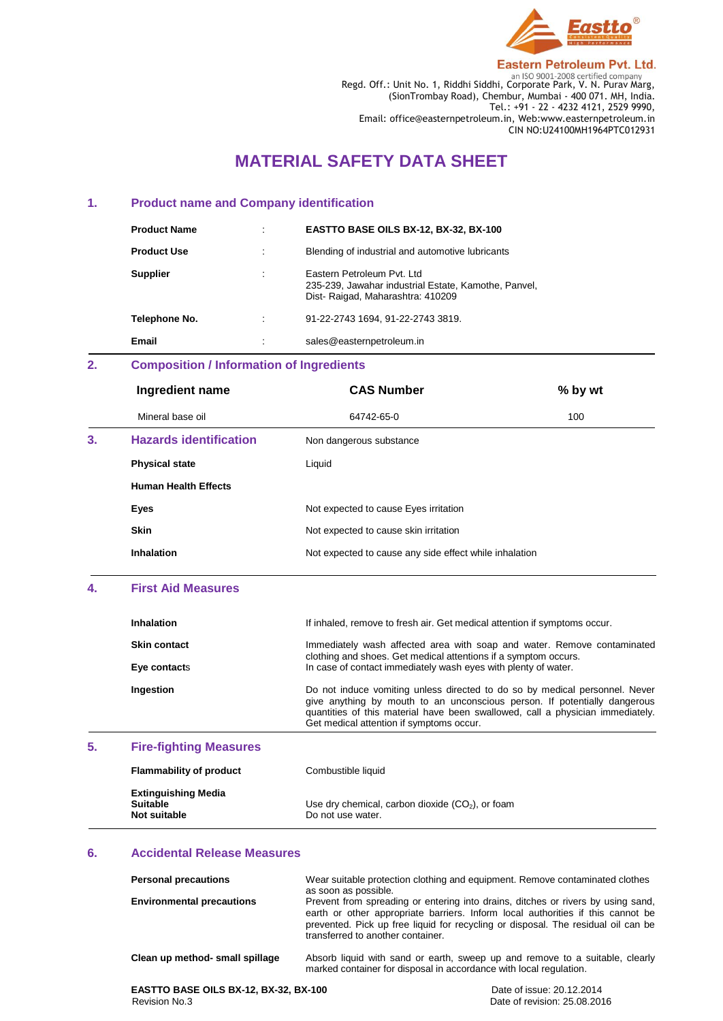

**Eastern Petroleum Pvt. Ltd.** 

**Regd. Off.: Unit No. 1, Riddhi Siddhi, Corporate Park, V. N. Purav Marg,** Regd. Off.: Unit No. 1, Riddhi Siddhi, Corporate Park, V. N. Purav Marg, (SionTrombay Road), Chembur, Mumbai - 400 071. MH, India. Tel.: +91 - 22 - 4232 4121, 2529 9990, Email: office@easternpetroleum.in, Web:www.easternpetroleum.in CIN NO:U24100MH1964PTC012931

# **MATERIAL SAFETY DATA SHEET**

# **1. Product name and Company identification**

| <b>Product Name</b> | ٠ | EASTTO BASE OILS BX-12, BX-32, BX-100                                                                                   |
|---------------------|---|-------------------------------------------------------------------------------------------------------------------------|
| <b>Product Use</b>  |   | Blending of industrial and automotive lubricants                                                                        |
| <b>Supplier</b>     | ٠ | Eastern Petroleum Pyt. Ltd.<br>235-239, Jawahar industrial Estate, Kamothe, Panvel,<br>Dist-Raigad, Maharashtra: 410209 |
| Telephone No.       | ٠ | 91-22-2743 1694. 91-22-2743 3819.                                                                                       |
| Email               | ٠ | sales@easternpetroleum.in                                                                                               |

# **2. Composition / Information of Ingredients**

|    | Ingredient name               | <b>CAS Number</b>                                      | % by wt |
|----|-------------------------------|--------------------------------------------------------|---------|
|    | Mineral base oil              | 64742-65-0                                             | 100     |
| 3. | <b>Hazards identification</b> | Non dangerous substance                                |         |
|    | <b>Physical state</b>         | Liquid                                                 |         |
|    | <b>Human Health Effects</b>   |                                                        |         |
|    | Eyes                          | Not expected to cause Eyes irritation                  |         |
|    | <b>Skin</b>                   | Not expected to cause skin irritation                  |         |
|    | <b>Inhalation</b>             | Not expected to cause any side effect while inhalation |         |

### **4. First Aid Measures**

| <b>Inhalation</b>                 | If inhaled, remove to fresh air. Get medical attention if symptoms occur.                                                                                                                                                                                                              |
|-----------------------------------|----------------------------------------------------------------------------------------------------------------------------------------------------------------------------------------------------------------------------------------------------------------------------------------|
| <b>Skin contact</b>               | Immediately wash affected area with soap and water. Remove contaminated                                                                                                                                                                                                                |
| Eye contacts                      | clothing and shoes. Get medical attentions if a symptom occurs.<br>In case of contact immediately wash eyes with plenty of water.                                                                                                                                                      |
| Ingestion                         | Do not induce vomiting unless directed to do so by medical personnel. Never<br>give anything by mouth to an unconscious person. If potentially dangerous<br>quantities of this material have been swallowed, call a physician immediately.<br>Get medical attention if symptoms occur. |
| おもし こうしんきょうしょう しょうしゅ あまし しょうしんしょう |                                                                                                                                                                                                                                                                                        |

# **5. Fire-fighting Measures**

| <b>Flammability of product</b>                                | Combustible liquid                                                      |
|---------------------------------------------------------------|-------------------------------------------------------------------------|
| <b>Extinguishing Media</b><br><b>Suitable</b><br>Not suitable | Use dry chemical, carbon dioxide $(CO2)$ , or foam<br>Do not use water. |

#### **6. Accidental Release Measures**

| <b>Personal precautions</b>      | Wear suitable protection clothing and equipment. Remove contaminated clothes<br>as soon as possible.                                                                                                                                                                                          |  |
|----------------------------------|-----------------------------------------------------------------------------------------------------------------------------------------------------------------------------------------------------------------------------------------------------------------------------------------------|--|
| <b>Environmental precautions</b> | Prevent from spreading or entering into drains, ditches or rivers by using sand,<br>earth or other appropriate barriers. Inform local authorities if this cannot be<br>prevented. Pick up free liquid for recycling or disposal. The residual oil can be<br>transferred to another container. |  |
| Clean up method- small spillage  | Absorb liquid with sand or earth, sweep up and remove to a suitable, clearly<br>marked container for disposal in accordance with local regulation.                                                                                                                                            |  |

**EASTTO BASE OILS BX-12, BX-32, BX-100 Date of issue: 20.12.2014 Revision No.3 Date of revision: 25.08.2014 Date of revision: 25.08.2014** 

Date of revision: 25.08.2016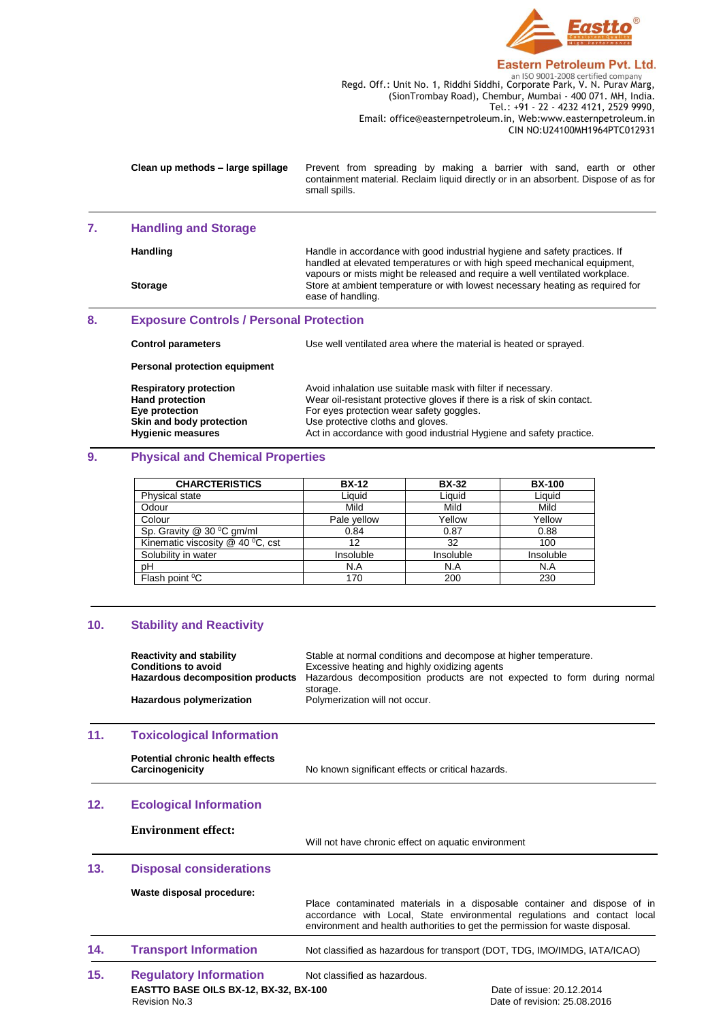

#### **Eastern Petroleum Pvt. Ltd.**

**Regd. Off.: Unit No. 1, Riddhi Siddhi, Corporate Park, V. N. Purav Marg,** Regd. Off.: Unit No. 1, Riddhi Siddhi, Corporate Park, V. N. Purav Marg, (SionTrombay Road), Chembur, Mumbai - 400 071. MH, India. Tel.: +91 - 22 - 4232 4121, 2529 9990, Email: office@easternpetroleum.in, Web:www.easternpetroleum.in CIN NO:U24100MH1964PTC012931

**Clean up methods – large spillage** Prevent from spreading by making a barrier with sand, earth or other containment material. Reclaim liquid directly or in an absorbent. Dispose of as for small spills.

#### **7. Handling and Storage**

| <b>Storage</b> | Store at ambient temperature or with lowest necessary heating as required for<br>ease of handling.                                                                                                                                     |
|----------------|----------------------------------------------------------------------------------------------------------------------------------------------------------------------------------------------------------------------------------------|
| Handling       | Handle in accordance with good industrial hygiene and safety practices. If<br>handled at elevated temperatures or with high speed mechanical equipment,<br>vapours or mists might be released and require a well ventilated workplace. |

# **8. Exposure Controls / Personal Protection**

| <b>Control parameters</b>                                                                             | Use well ventilated area where the material is heated or sprayed.                                                                                                                                                         |
|-------------------------------------------------------------------------------------------------------|---------------------------------------------------------------------------------------------------------------------------------------------------------------------------------------------------------------------------|
| Personal protection equipment                                                                         |                                                                                                                                                                                                                           |
| <b>Respiratory protection</b><br><b>Hand protection</b><br>Eye protection<br>Skin and body protection | Avoid inhalation use suitable mask with filter if necessary.<br>Wear oil-resistant protective gloves if there is a risk of skin contact.<br>For eyes protection wear safety goggles.<br>Use protective cloths and gloves. |
| <b>Hygienic measures</b>                                                                              | Act in accordance with good industrial Hygiene and safety practice.                                                                                                                                                       |

# **9. Physical and Chemical Properties**

| <b>CHARCTERISTICS</b>            | <b>BX-12</b> | <b>BX-32</b> | <b>BX-100</b> |
|----------------------------------|--------------|--------------|---------------|
| Physical state                   | Liauid       | Liquid       | Liquid        |
| Odour                            | Mild         | Mild         | Mild          |
| Colour                           | Pale yellow  | Yellow       | Yellow        |
| Sp. Gravity @ 30 °C gm/ml        | 0.84         | 0.87         | 0.88          |
| Kinematic viscosity @ 40 °C, cst | 12           | 32           | 100           |
| Solubility in water              | Insoluble    | Insoluble    | Insoluble     |
| pН                               | N.A          | N.A          | N.A           |
| Flash point <sup>o</sup> C       | 170          | 200          | 230           |

#### **10. Stability and Reactivity**

|     | <b>Reactivity and stability</b><br><b>Conditions to avoid</b><br><b>Hazardous decomposition products</b><br><b>Hazardous polymerization</b> | Stable at normal conditions and decompose at higher temperature.<br>Excessive heating and highly oxidizing agents<br>Hazardous decomposition products are not expected to form during normal<br>storage.<br>Polymerization will not occur. |
|-----|---------------------------------------------------------------------------------------------------------------------------------------------|--------------------------------------------------------------------------------------------------------------------------------------------------------------------------------------------------------------------------------------------|
| 11. | <b>Toxicological Information</b>                                                                                                            |                                                                                                                                                                                                                                            |
|     | Potential chronic health effects<br>Carcinogenicity                                                                                         | No known significant effects or critical hazards.                                                                                                                                                                                          |
| 12. | <b>Ecological Information</b>                                                                                                               |                                                                                                                                                                                                                                            |
|     | <b>Environment effect:</b>                                                                                                                  | Will not have chronic effect on aquatic environment                                                                                                                                                                                        |
| 13. | <b>Disposal considerations</b>                                                                                                              |                                                                                                                                                                                                                                            |
|     | Waste disposal procedure:                                                                                                                   | Place contaminated materials in a disposable container and dispose of in<br>accordance with Local, State environmental regulations and contact local<br>environment and health authorities to get the permission for waste disposal.       |

#### **14. Transport Information** Not classified as hazardous for transport (DOT, TDG, IMO/IMDG, IATA/ICAO)

**EASTTO BASE OILS BX-12, BX-32, BX-100 Date of issue: 20.12.2014 Revision No.3 Date of issue: 25.08.20** 15. **Regulatory Information** Not classified as hazardous.

Date of revision: 25.08.2016